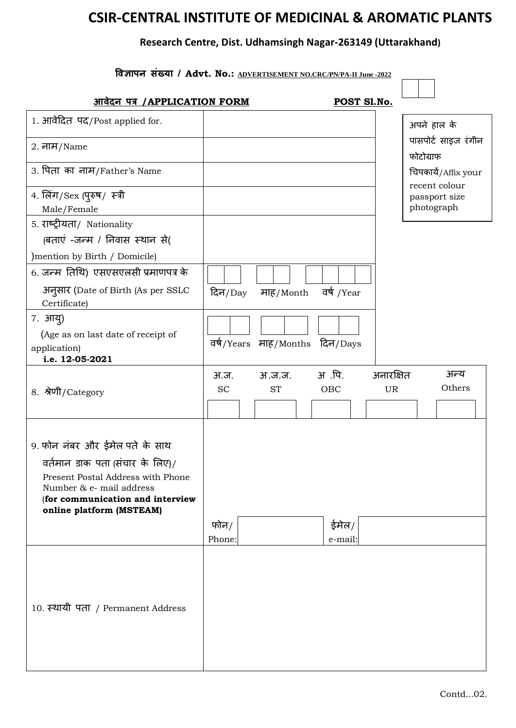## **CSIR-CENTRAL INSTITUTE OF MEDICINAL & AROMATIC PLANTS**

## **Research Centre, Dist. Udhamsingh Nagar-263149 (Uttarakhand)**

| विज्ञापन संख्या / Advt. No.: ADVERTISEMENT NO.CRC/PN/PA-II June -2022                                                         |                   |                     |                                |                 |                                      |  |  |  |  |  |
|-------------------------------------------------------------------------------------------------------------------------------|-------------------|---------------------|--------------------------------|-----------------|--------------------------------------|--|--|--|--|--|
| <u>आवेदन पत्र /APPLICATION FORM</u>                                                                                           |                   |                     |                                | POST Sl.No.     |                                      |  |  |  |  |  |
| 1. आवेदित पद/Post applied for.                                                                                                |                   |                     |                                |                 | अपने हाल के                          |  |  |  |  |  |
| $2. \overline{dH}$ /Name                                                                                                      |                   |                     |                                |                 | पासपोर्ट साइज रंगीन<br>फोटोग्राफ     |  |  |  |  |  |
| 3. पिता का नाम/Father's Name                                                                                                  |                   |                     |                                |                 | चिपकायें/Affix your<br>recent colour |  |  |  |  |  |
| 4. लिंग/Sex (पुरुष/ स्त्री<br>Male/Female                                                                                     |                   |                     |                                |                 | passport size<br>photograph          |  |  |  |  |  |
| 5. राष्ट्रीयता/ Nationality<br>(बताएं -जन्म / निवास स्थान से(                                                                 |                   |                     |                                |                 |                                      |  |  |  |  |  |
| ) mention by Birth / Domicile)                                                                                                |                   |                     |                                |                 |                                      |  |  |  |  |  |
| 6. जन्म तिथि) एसएसएलसी प्रमाणपत्र के                                                                                          |                   |                     |                                |                 |                                      |  |  |  |  |  |
| अनुसार (Date of Birth (As per SSLC<br>Certificate)                                                                            | दिन $/Day$        | माह/Month           | वर्ष /Year                     |                 |                                      |  |  |  |  |  |
| 7. आयु)                                                                                                                       |                   |                     |                                |                 |                                      |  |  |  |  |  |
| (Age as on last date of receipt of<br>application)<br>i.e. 12-05-2021                                                         |                   |                     | वर्ष/Years माह/Months दिन/Days |                 |                                      |  |  |  |  |  |
| 8. श्रेणी/Category                                                                                                            | अ.ज.<br><b>SC</b> | अ.ज.ज.<br><b>ST</b> | अ.पि.<br>OBC                   | अनारक्षित<br>UR | अन्य<br>Others                       |  |  |  |  |  |
| 9. फोन नंबर और ईमेल पते के साथ                                                                                                |                   |                     |                                |                 |                                      |  |  |  |  |  |
| वर्तमान डाक पता (संचार के लिए)/                                                                                               |                   |                     |                                |                 |                                      |  |  |  |  |  |
| Present Postal Address with Phone<br>Number & e- mail address<br>(for communication and interview<br>online platform (MSTEAM) |                   |                     |                                |                 |                                      |  |  |  |  |  |
|                                                                                                                               | फोन/<br>Phone:    |                     | ईमेल/<br>e-mail:               |                 |                                      |  |  |  |  |  |
| 10. स्थायी पता / Permanent Address                                                                                            |                   |                     |                                |                 |                                      |  |  |  |  |  |